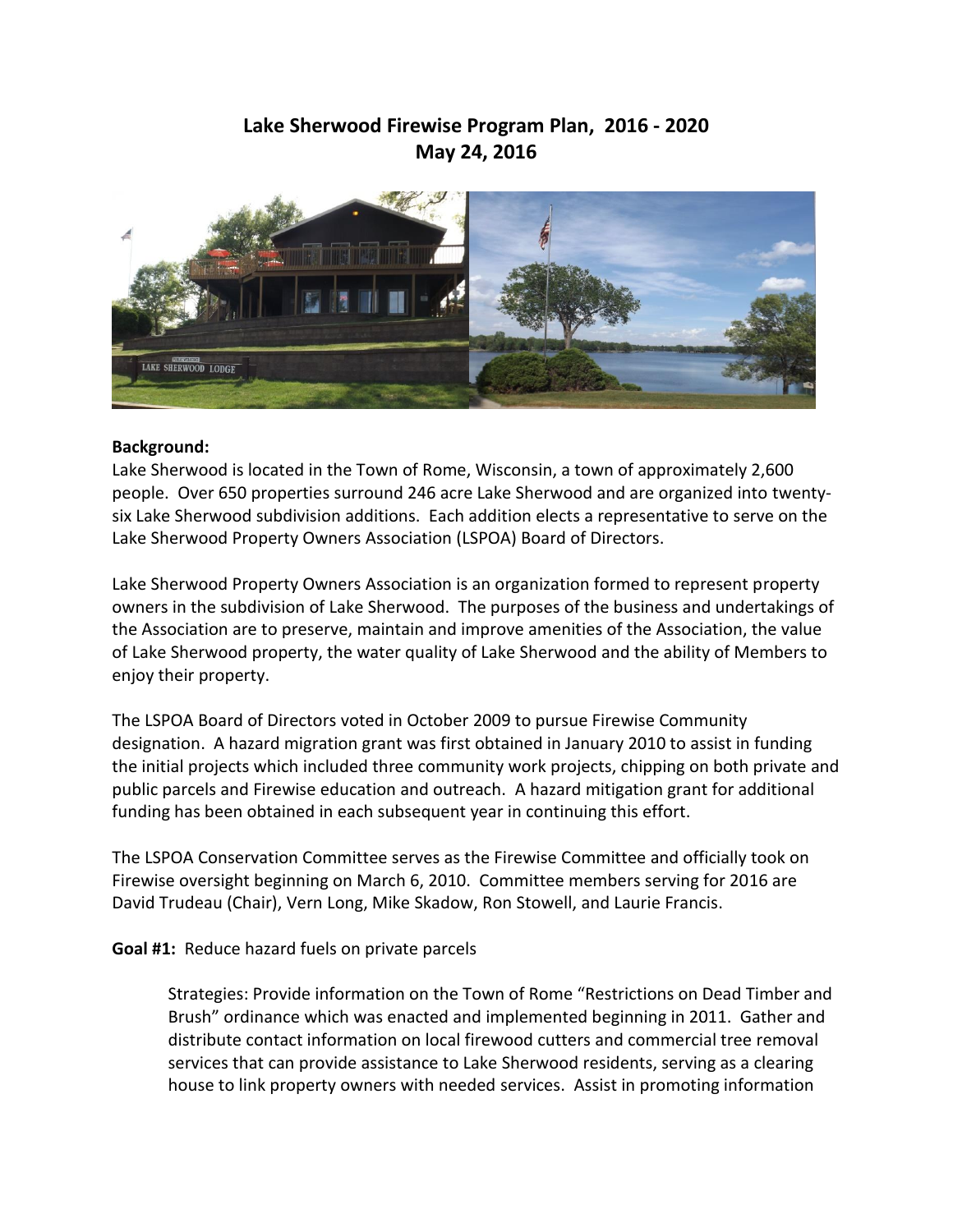## **Lake Sherwood Firewise Program Plan, 2016 - 2020 May 24, 2016**



## **Background:**

Lake Sherwood is located in the Town of Rome, Wisconsin, a town of approximately 2,600 people. Over 650 properties surround 246 acre Lake Sherwood and are organized into twentysix Lake Sherwood subdivision additions. Each addition elects a representative to serve on the Lake Sherwood Property Owners Association (LSPOA) Board of Directors.

Lake Sherwood Property Owners Association is an organization formed to represent property owners in the subdivision of Lake Sherwood. The purposes of the business and undertakings of the Association are to preserve, maintain and improve amenities of the Association, the value of Lake Sherwood property, the water quality of Lake Sherwood and the ability of Members to enjoy their property.

The LSPOA Board of Directors voted in October 2009 to pursue Firewise Community designation. A hazard migration grant was first obtained in January 2010 to assist in funding the initial projects which included three community work projects, chipping on both private and public parcels and Firewise education and outreach. A hazard mitigation grant for additional funding has been obtained in each subsequent year in continuing this effort.

The LSPOA Conservation Committee serves as the Firewise Committee and officially took on Firewise oversight beginning on March 6, 2010. Committee members serving for 2016 are David Trudeau (Chair), Vern Long, Mike Skadow, Ron Stowell, and Laurie Francis.

**Goal #1:** Reduce hazard fuels on private parcels

Strategies: Provide information on the Town of Rome "Restrictions on Dead Timber and Brush" ordinance which was enacted and implemented beginning in 2011. Gather and distribute contact information on local firewood cutters and commercial tree removal services that can provide assistance to Lake Sherwood residents, serving as a clearing house to link property owners with needed services. Assist in promoting information